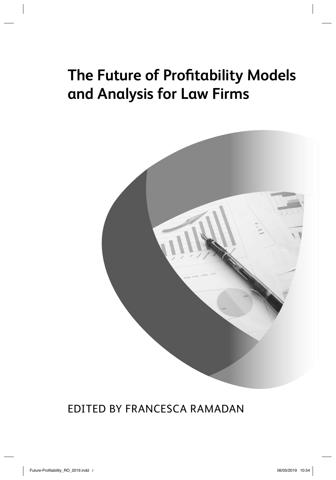# **The Future of Profitability Models and Analysis for Law Firms**



### EDITED BY FRANCESCA RAMADAN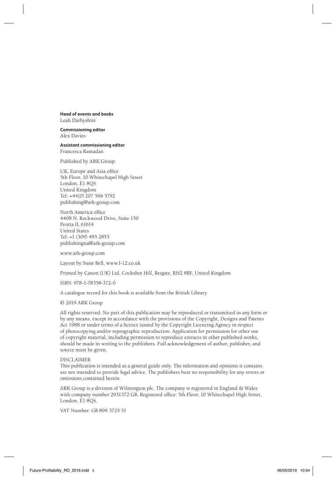### **Head of events and books** Leah Darbyshire

**Commissioning editor** Alex Davies

**Assistant commissioning editor** Francesca Ramadan

Published by ARK Group:

UK, Europe and Asia office 5th Floor, 10 Whitechapel High Street London, E1 8QS United Kingdom Tel: +44(0) 207 566 5792 publishing@ark-group.com

North America office 4408 N. Rockwood Drive, Suite 150 Peoria IL 61614 United States Tel: +1 (309) 495 2853 publishingna@ark-group.com

www.ark-group.com

Layout by Susie Bell, www.f-12.co.uk

Printed by Canon (UK) Ltd, Cockshot Hill, Reigate, RH2 8BF, United Kingdom

ISBN: 978-1-78358-372-0

A catalogue record for this book is available from the British Library

© 2019 ARK Group

All rights reserved. No part of this publication may be reproduced or transmitted in any form or by any means, except in accordance with the provisions of the Copyright, Designs and Patents Act 1988 or under terms of a licence issued by the Copyright Licencing Agency in respect of photocopying and/or reprographic reproduction. Application for permission for other use of copyright material, including permission to reproduce extracts in other published works, should be made in writing to the publishers. Full acknowledgement of author, publisher, and source must be given.

#### DISCLAIMER

This publication is intended as a general guide only. The information and opinions it contains are not intended to provide legal advice. The publishers bear no responsibility for any errors or omissions contained herein.

ARK Group is a division of Wilmington plc. The company is registered in England & Wales with company number 2931372 GB. Registered office: 5th Floor, 10 Whitechapel High Street, London, E1 8QS.

VAT Number: GB 899 3725 51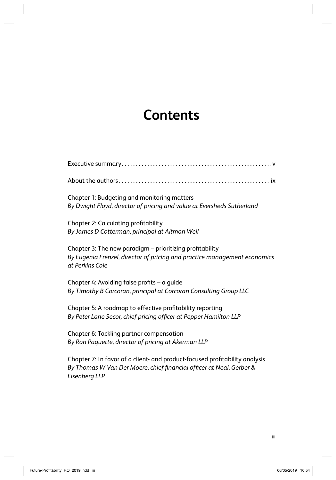## **Contents**

| Chapter 1: Budgeting and monitoring matters<br>By Dwight Floyd, director of pricing and value at Eversheds Sutherland                                                |
|----------------------------------------------------------------------------------------------------------------------------------------------------------------------|
| <b>Chapter 2: Calculating profitability</b><br>By James D Cotterman, principal at Altman Weil                                                                        |
| Chapter 3: The new paradigm - prioritizing profitability<br>By Eugenia Frenzel, director of pricing and practice management economics<br>at Perkins Coie             |
| Chapter 4: Avoiding false profits - a guide<br>By Timothy B Corcoran, principal at Corcoran Consulting Group LLC                                                     |
| Chapter 5: A roadmap to effective profitability reporting<br>By Peter Lane Secor, chief pricing officer at Pepper Hamilton LLP                                       |
| Chapter 6: Tackling partner compensation<br>By Ron Paquette, director of pricing at Akerman LLP                                                                      |
| Chapter 7: In favor of a client- and product-focused profitability analysis<br>By Thomas W Van Der Moere, chief financial officer at Neal, Gerber &<br>Eisenberg LLP |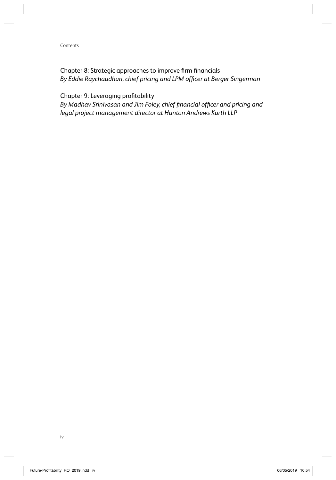### Contents

Chapter 8: Strategic approaches to improve firm financials By Eddie Raychaudhuri, chief pricing and LPM officer at Berger Singerman

Chapter 9: Leveraging profitability

By Madhav Srinivasan and Jim Foley, chief financial officer and pricing and *legal project management director at Hunton Andrews Kurth LLP*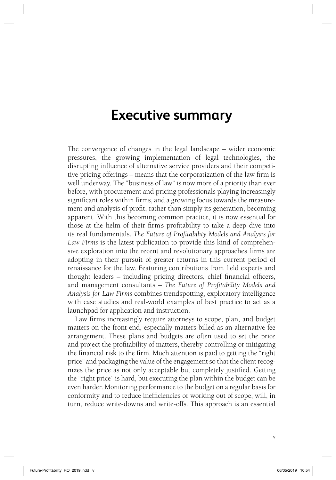## **Executive summary**

The convergence of changes in the legal landscape – wider economic pressures, the growing implementation of legal technologies, the disrupting influence of alternative service providers and their competitive pricing offerings – means that the corporatization of the law firm is well underway. The "business of law" is now more of a priority than ever before, with procurement and pricing professionals playing increasingly significant roles within firms, and a growing focus towards the measurement and analysis of profit, rather than simply its generation, becoming apparent. With this becoming common practice, it is now essential for those at the helm of their firm's profitability to take a deep dive into its real fundamentals. *The Future of Profi tability Models and Analysis for Law Firms* is the latest publication to provide this kind of comprehensive exploration into the recent and revolutionary approaches firms are adopting in their pursuit of greater returns in this current period of renaissance for the law. Featuring contributions from field experts and thought leaders – including pricing directors, chief financial officers, and management consultants – *The Future of Profi tability Models and Analysis for Law Firms* combines trendspotting, exploratory intelligence with case studies and real-world examples of best practice to act as a launchpad for application and instruction.

Law firms increasingly require attorneys to scope, plan, and budget matters on the front end, especially matters billed as an alternative fee arrangement. These plans and budgets are often used to set the price and project the profitability of matters, thereby controlling or mitigating the financial risk to the firm. Much attention is paid to getting the "right" price" and packaging the value of the engagement so that the client recognizes the price as not only acceptable but completely justified. Getting the "right price" is hard, but executing the plan within the budget can be even harder. Monitoring performance to the budget on a regular basis for conformity and to reduce inefficiencies or working out of scope, will, in turn, reduce write-downs and write-offs. This approach is an essential

v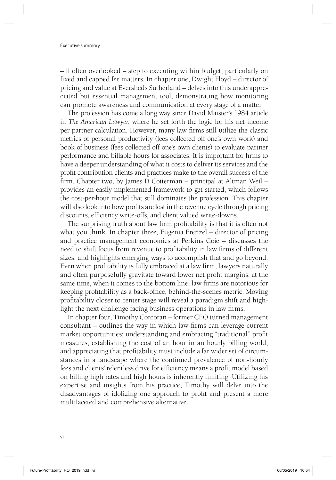### Executive summary

– if often overlooked – step to executing within budget, particularly on fixed and capped fee matters. In chapter one, Dwight Floyd – director of pricing and value at Eversheds Sutherland – delves into this underappreciated but essential management tool, demonstrating how monitoring can promote awareness and communication at every stage of a matter.

The profession has come a long way since David Maister's 1984 article in *The American Lawyer*, where he set forth the logic for his net income per partner calculation. However, many law firms still utilize the classic metrics of personal productivity (fees collected off one's own work) and book of business (fees collected off one's own clients) to evaluate partner performance and billable hours for associates. It is important for firms to have a deeper understanding of what it costs to deliver its services and the profit contribution clients and practices make to the overall success of the firm. Chapter two, by James D Cotterman – principal at Altman Weil – provides an easily implemented framework to get started, which follows the cost-per-hour model that still dominates the profession. This chapter will also look into how profits are lost in the revenue cycle through pricing discounts, efficiency write-offs, and client valued write-downs.

The surprising truth about law firm profitability is that it is often not what you think. In chapter three, Eugenia Frenzel – director of pricing and practice management economics at Perkins Coie – discusses the need to shift focus from revenue to profitability in law firms of different sizes, and highlights emerging ways to accomplish that and go beyond. Even when profitability is fully embraced at a law firm, lawyers naturally and often purposefully gravitate toward lower net profit margins; at the same time, when it comes to the bottom line, law firms are notorious for keeping profitability as a back-office, behind-the-scenes metric. Moving profitability closer to center stage will reveal a paradigm shift and highlight the next challenge facing business operations in law firms.

In chapter four, Timothy Corcoran – former CEO turned management consultant – outlines the way in which law firms can leverage current market opportunities: understanding and embracing "traditional" profit measures, establishing the cost of an hour in an hourly billing world, and appreciating that profitability must include a far wider set of circumstances in a landscape where the continued prevalence of non-hourly fees and clients' relentless drive for efficiency means a profit model based on billing high rates and high hours is inherently limiting. Utilizing his expertise and insights from his practice, Timothy will delve into the disadvantages of idolizing one approach to profit and present a more multifaceted and comprehensive alternative.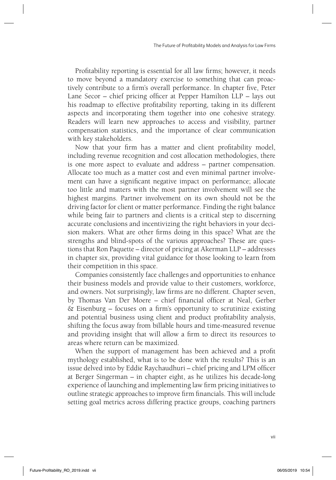Profitability reporting is essential for all law firms; however, it needs to move beyond a mandatory exercise to something that can proactively contribute to a firm's overall performance. In chapter five, Peter Lane Secor – chief pricing officer at Pepper Hamilton  $LLP - lays$  out his roadmap to effective profitability reporting, taking in its different aspects and incorporating them together into one cohesive strategy. Readers will learn new approaches to access and visibility, partner compensation statistics, and the importance of clear communication with key stakeholders.

Now that your firm has a matter and client profitability model, including revenue recognition and cost allocation methodologies, there is one more aspect to evaluate and address – partner compensation. Allocate too much as a matter cost and even minimal partner involvement can have a significant negative impact on performance; allocate too little and matters with the most partner involvement will see the highest margins. Partner involvement on its own should not be the driving factor for client or matter performance. Finding the right balance while being fair to partners and clients is a critical step to discerning accurate conclusions and incentivizing the right behaviors in your decision makers. What are other firms doing in this space? What are the strengths and blind-spots of the various approaches? These are questions that Ron Paquette – director of pricing at Akerman LLP – addresses in chapter six, providing vital guidance for those looking to learn from their competition in this space.

Companies consistently face challenges and opportunities to enhance their business models and provide value to their customers, workforce, and owners. Not surprisingly, law firms are no different. Chapter seven, by Thomas Van Der Moere - chief financial officer at Neal, Gerber  $& Eisenburg - focuses on a firm's opportunity to scrutinize existing$ and potential business using client and product profitability analysis, shifting the focus away from billable hours and time-measured revenue and providing insight that will allow a firm to direct its resources to areas where return can be maximized.

When the support of management has been achieved and a profit mythology established, what is to be done with the results? This is an issue delved into by Eddie Raychaudhuri - chief pricing and LPM officer at Berger Singerman – in chapter eight, as he utilizes his decade-long experience of launching and implementing law firm pricing initiatives to outline strategic approaches to improve firm financials. This will include setting goal metrics across differing practice groups, coaching partners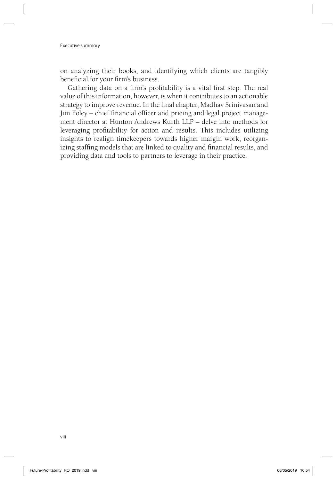on analyzing their books, and identifying which clients are tangibly beneficial for your firm's business.

Gathering data on a firm's profitability is a vital first step. The real value of this information, however, is when it contributes to an actionable strategy to improve revenue. In the final chapter, Madhav Srinivasan and Jim Foley – chief financial officer and pricing and legal project management director at Hunton Andrews Kurth LLP – delve into methods for leveraging profitability for action and results. This includes utilizing insights to realign timekeepers towards higher margin work, reorganizing staffing models that are linked to quality and financial results, and providing data and tools to partners to leverage in their practice.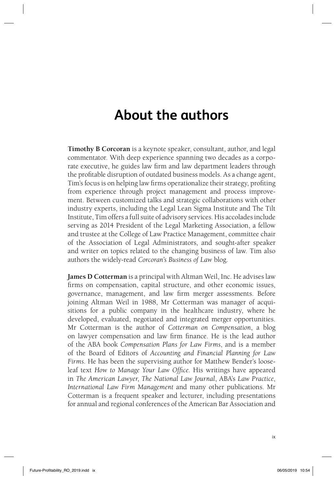## **About the authors**

**Timothy B Corcoran** is a keynote speaker, consultant, author, and legal commentator. With deep experience spanning two decades as a corporate executive, he guides law firm and law department leaders through the profi table disruption of outdated business models. As a change agent, Tim's focus is on helping law firms operationalize their strategy, profiting from experience through project management and process improvement. Between customized talks and strategic collaborations with other industry experts, including the Legal Lean Sigma Institute and The Tilt Institute, Tim offers a full suite of advisory services. His accolades include serving as 2014 President of the Legal Marketing Association, a fellow and trustee at the College of Law Practice Management, committee chair of the Association of Legal Administrators, and sought-after speaker and writer on topics related to the changing business of law. Tim also authors the widely-read *Corcoran's Business of Law* blog.

**James D Cotterman** is a principal with Altman Weil, Inc. He advises law firms on compensation, capital structure, and other economic issues, governance, management, and law firm merger assessments. Before joining Altman Weil in 1988, Mr Cotterman was manager of acquisitions for a public company in the healthcare industry, where he developed, evaluated, negotiated and integrated merger opportunities. Mr Cotterman is the author of *Cotterman on Compensation*, a blog on lawyer compensation and law firm finance. He is the lead author of the ABA book *Compensation Plans for Law Firms*, and is a member of the Board of Editors of *Accounting and Financial Planning for Law Firms*. He has been the supervising author for Matthew Bender's looseleaf text *How to Manage Your Law Office*. His writings have appeared in *The American Lawyer*, *The National Law Journal*, ABA's *Law Practice*, *International Law Firm Management* and many other publications. Mr Cotterman is a frequent speaker and lecturer, including presentations for annual and regional conferences of the American Bar Association and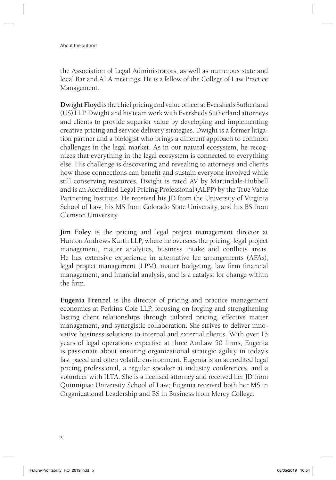About the authors

the Association of Legal Administrators, as well as numerous state and local Bar and ALA meetings. He is a fellow of the College of Law Practice Management.

**Dwight Floyd** is the chief pricing and value officer at Eversheds Sutherland (US) LLP. Dwight and his team work with Eversheds Sutherland attorneys and clients to provide superior value by developing and implementing creative pricing and service delivery strategies. Dwight is a former litigation partner and a biologist who brings a different approach to common challenges in the legal market. As in our natural ecosystem, he recognizes that everything in the legal ecosystem is connected to everything else. His challenge is discovering and revealing to attorneys and clients how those connections can benefit and sustain everyone involved while still conserving resources. Dwight is rated AV by Martindale-Hubbell and is an Accredited Legal Pricing Professional (ALPP) by the True Value Partnering Institute. He received his JD from the University of Virginia School of Law, his MS from Colorado State University, and his BS from Clemson University.

**Jim Foley** is the pricing and legal project management director at Hunton Andrews Kurth LLP, where he oversees the pricing, legal project management, matter analytics, business intake and conflicts areas. He has extensive experience in alternative fee arrangements (AFAs), legal project management (LPM), matter budgeting, law firm financial management, and financial analysis, and is a catalyst for change within the firm.

**Eugenia Frenzel** is the director of pricing and practice management economics at Perkins Coie LLP, focusing on forging and strengthening lasting client relationships through tailored pricing, effective matter management, and synergistic collaboration. She strives to deliver innovative business solutions to internal and external clients. With over 15 years of legal operations expertise at three AmLaw 50 firms, Eugenia is passionate about ensuring organizational strategic agility in today's fast paced and often volatile environment. Eugenia is an accredited legal pricing professional, a regular speaker at industry conferences, and a volunteer with ILTA. She is a licensed attorney and received her JD from Quinnipiac University School of Law; Eugenia received both her MS in Organizational Leadership and BS in Business from Mercy College.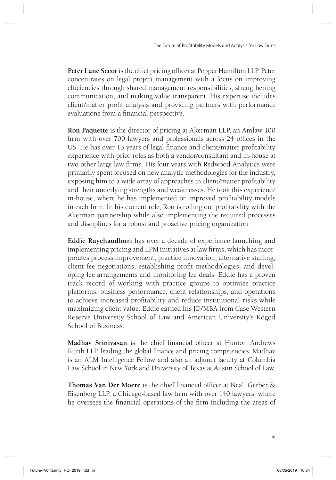Peter Lane Secor is the chief pricing officer at Pepper Hamilton LLP. Peter concentrates on legal project management with a focus on improving efficiencies through shared management responsibilities, strengthening communication, and making value transparent. His expertise includes client/matter profit analysis and providing partners with performance evaluations from a financial perspective.

**Ron Paquette** is the director of pricing at Akerman LLP, an Amlaw 100 firm with over 700 lawyers and professionals across 24 offices in the US. He has over 13 years of legal finance and client/matter profitability experience with prior roles as both a vendor/consultant and in-house at two other large law firms. His four years with Redwood Analytics were primarily spent focused on new analytic methodologies for the industry, exposing him to a wide array of approaches to client/matter profitability and their underlying strengths and weaknesses. He took this experience in-house, where he has implemented or improved profitability models in each firm. In his current role, Ron is rolling out profitability with the Akerman partnership while also implementing the required processes and disciplines for a robust and proactive pricing organization.

**Eddie Raychaudhuri** has over a decade of experience launching and implementing pricing and LPM initiatives at law firms, which has incorporates process improvement, practice innovation, alternative staffing, client fee negotiations, establishing profit methodologies, and developing fee arrangements and monitoring fee deals. Eddie has a proven track record of working with practice groups to optimize practice platforms, business performance, client relationships, and operations to achieve increased profitability and reduce institutional risks while maximizing client value. Eddie earned his JD/MBA from Case Western Reserve University School of Law and American University's Kogod School of Business.

**Madhav Srinivasan** is the chief financial officer at Hunton Andrews Kurth LLP, leading the global finance and pricing competencies. Madhav is an ALM Intelligence Fellow and also an adjunct faculty at Columbia Law School in New York and University of Texas at Austin School of Law.

**Thomas Van Der Moere** is the chief financial officer at Neal, Gerber & Eisenberg LLP, a Chicago-based law firm with over 140 lawyers, where he oversees the financial operations of the firm including the areas of